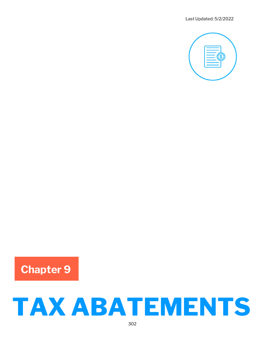

Chapter 9

# TAX ABATEMENTS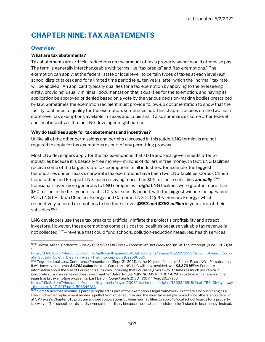# CHAPTER NINE: TAX ABATEMENTS

## **Overview**

#### What are tax abatements?

Tax abatements are artificial reductions on the amount of tax a property owner would otherwise pay. The term is generally interchangeable with terms like "tax breaks" and "tax exemptions." The exemption can apply: at the federal, state or local level; to certain types of taxes at each level (e.g., school district taxes); and for a limited time period (e.g., ten years, after which the "normal" tax rate will be applied). An applicant typically qualifies for a tax exemption by applying to the overseeing entity, providing (usually minimal) documentation that it qualifies for the exemption, and having its application be approved or denied based on a vote by the various decision-making bodies prescribed by law. Sometimes the exemption recipient must provide follow-up documentation to show that the facility continues to qualify for the exemption; sometimes not. This chapter focuses on the two main state-level tax exemptions available in Texas and Louisiana; it also summarizes some other federal and local incentives that an LNG developer might pursue.

#### Why do facilities apply for tax abatements and incentives?

Unlike all of the other permissions and permits discussed in this guide, LNG terminals are not required to apply for tax exemptions as part of any permitting process.

Most LNG developers apply for the tax exemptions that state and local governments offer to industries because it is basically free money—millions of dollars in free money. In fact, LNG facilities receive some of the largest state tax exemptions of all industries: for example, the biggest beneficiaries under Texas's corporate tax exemptions have been two LNG facilities: Corpus Christi Liquefaction and Freeport LNG, each receiving more than \$55 million in subsidies **annually**.<sup>1060</sup> Louisiana is even more generous to LNG companies—eight LNG facilities were granted more than \$50 million in the first year of each's 10-year subsidy period, with the biggest winners being Sabine Pass LNG LP (d/b/a Cheniere Energy) and Cameron LNG LLC (d/b/a Sempra Energy), which respectively secured exemptions to the tune of over \$553 and \$392 million in years one of their subsidies.<sup>1061</sup>

LNG developers use these tax breaks to artificially inflate the project's profitability and attract investors. However, these exemptions come at a cost to localities because valuable tax revenue is not collected<sup>1062</sup>-revenue that could fund schools, pollution-reduction measures, health services,

https://d3n8a8pro7vhmx.cloudfront.net/gulfcoastlc/pages/1561/attachments/original/1622690659/Brown\_\_Alleen\_\_Corpor ate\_Subsidy\_Quietly\_Dies\_in\_Texas\_-The\_Intercept.pdf?1622690659.

1061 Together Louisiana. Conference Presentation. (Sept. 21, 2021). In the 10-year lifespan of Sabine Pass LNG, LP's subsidies, it will have avoided over \$4.762 billion in taxes. Cameron LNG, LLC will have avoided over \$3.376 billion. For more information about the size of Louisiana's subsidies (including that Louisiana gives away 32 times as much per capita in corporate subsidies as Texas does), see Together Baton Rouge. "GIVING AWAY THE FARM: a cost-benefit analysis of the industrial tax exemption program in East Baton Rouge Parish, 1998 ‐ 2017." (Aug. 2017) at 8. https://d3n8a8pro7vhmx.cloudfront.net/togetherbr/pages/2303/attachments/original/1503346818/Final\_TBR\_Giving\_away \_the\_farm\_8-17-2017.pdf?1503346818.

<sup>1060</sup> Brown, Alleen. Corporate Subsidy Quietly Dies in Texas-Topping Off Bad Week for Big Oil. The Intercept. (June 1, 2021) at 5.

<sup>1062</sup> Sometimes that revenue is partially replaced as part of the exemption's legal framework. But there's no such thing as a free lunch—that replacement money is pulled from other sources and the shortfall is simply moved onto others' shoulders. Id. at 5 ("Texas's Chapter 313 program allowed corporations building new facilities to apply to local school boards for a property tax waiver. The school boards hardly ever said no — likely because the local school district didn't stand to lose money. Instead,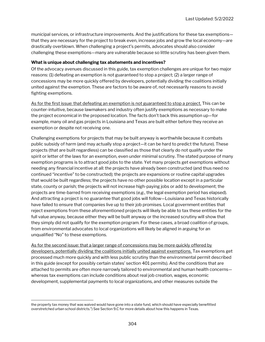municipal services, or infrastructure improvements. And the justifications for these tax exemptions that they are necessary for the project to break even, increase jobs and grow the local economy—are drastically overblown. When challenging a project's permits, advocates should also consider challenging these exemptions—many are vulnerable because so little scrutiny has been given them.

#### What is unique about challenging tax abatements and incentives?

Of the advocacy avenues discussed in this guide, tax exemption challenges are unique for two major reasons: (1) defeating an exemption is not guaranteed to stop a project; (2) a larger range of concessions may be more quickly offered by developers, potentially dividing the coalitions initially united against the exemption. These are factors to be aware of, not necessarily reasons to avoid fighting exemptions.

As for the first issue: that defeating an exemption is not guaranteed to stop a project. This can be counter-intuitive, because lawmakers and industry often justify exemptions as necessary to make the project economical in the proposed location. The facts don't back this assumption up—for example, many oil and gas projects in Louisiana and Texas are built either before they receive an exemption or despite not receiving one.

Challenging exemptions for projects that may be built anyway is worthwhile because it combats public subsidy of harm (and may actually stop a project—it can be hard to predict the future). These projects (that are built regardless) can be classified as those that clearly do not qualify under the spirit or letter of the laws for an exemption, even under minimal scrutiny. The stated purpose of many exemption programs is to attract good jobs to the state. Yet many projects get exemptions without needing any financial incentive at all: the projects have already been constructed (and thus need no continued "incentive" to be constructed); the projects are expansions or routine capital upgrades that would be built regardless; the projects have no other possible location except in a particular state, county or parish; the projects will not increase high-paying jobs or add to development; the projects are time-barred from receiving exemptions (e.g., the legal exemption period has elapsed). And attracting a project is no guarantee that good jobs will follow—Louisiana and Texas historically have failed to ensure that companies live up to their job promises. Local government entities that reject exemptions from these aforementioned projects will likely be able to tax these entities for the full value anyway, because either they will be built anyway or the increased scrutiny will show that they simply did not qualify for the exemption program. For these cases, a broad coalition of groups, from environmental advocates to local organizations will likely be aligned in arguing for an unqualified "No" to these exemptions.

As for the second issue: that a larger range of concessions may be more quickly offered by developers, potentially dividing the coalitions initially united against exemptions. Tax exemptions get processed much more quickly and with less public scrutiny than the environmental permit described in this guide (except for possibly certain states' section 401 permits). And the conditions that are attached to permits are often more narrowly tailored to environmental and human health concerns whereas tax exemptions can include conditions about real job creation, wages, economic development, supplemental payments to local organizations, and other measures outside the

the property tax money that was waived would have gone into a state fund, which should have especially benefitted overstretched urban school districts.") See Section 9.C for more details about how this happens in Texas.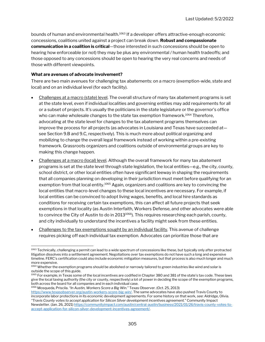bounds of human and environmental health.<sup>1063</sup> If a developer offers attractive-enough economic concessions, coalitions united against a project can break down. Robust and compassionate communication in a coalition is critical—those interested in such concessions should be open to hearing how enforceable (or not) they may be plus any environmental / human health tradeoffs; and those opposed to any concessions should be open to hearing the very real concerns and needs of those with different viewpoints.

#### What are avenues of advocate involvement?

There are two main avenues for challenging tax abatements: on a macro (exemption-wide, state and local) and on an individual level (for each facility).

- Challenges at a macro (state) level. The overall structure of many tax abatement programs is set at the state level, even if individual localities and governing entities may add requirements for all or a subset of projects. It's usually the politicians in the state legislature or the governor's office who can make wholesale changes to the state tax exemption framework.<sup>1064</sup> Therefore, advocating at the state level for changes to the tax abatement programs themselves can improve the process for all projects (as advocates in Louisiana and Texas have succeeded at see Section 9.B and 9.C, respectively). This is much more about political organizing and mobilizing to change the overall legal framework instead of working within a pre-existing framework. Grassroots organizers and coalitions outside of environmental groups are key to making this change happen.
- Challenges at a macro (local) level. Although the overall framework for many tax abatement programs is set at the state level through state legislation, the local entities—e.g., the city, county, school district, or other local entities often have significant leeway in shaping the requirements that all companies planning on developing in their jurisdiction must meet before qualifying for an exemption from that local entity.<sup>1065</sup> Again, organizers and coalitions are key to convincing the local entities that macro-level changes to these local incentives are necessary. For example, if local entities can be convinced to adopt living wages, benefits, and local hire standards as conditions for receiving certain tax exemptions, this can affect all future projects that seek exemptions in that locality (as Austin Interfaith, Workers Defense, and other advocates were able to convince the City of Austin to do in 2013 $1066$ ). This requires researching each parish, county, and city individually to understand the incentives a facility might seek from these entities.
- Challenges to the tax exemptions sought by an individual facility. This avenue of challenge requires picking off each individual tax exemption. Advocates can prioritize those that are

<sup>1066</sup> Mosqueda, Priscila. "In Austin, Workers Score a Big Win." Texas Observer. (Oct. 25, 2013)

<sup>&</sup>lt;sup>1063</sup> Technically, challenging a permit can lead to a wide spectrum of concessions like these, but typically only after protracted litigation dissolves into a settlement agreement. Negotiations over tax exemptions do not have such a long and expensive timeline. FERC's certification could also include economic mitigation measures, but that process is also much longer and much more expensive.

<sup>1064</sup> Whether the exemption programs should be abolished or narrowly tailored to green industries like wind and solar is outside the scope of this guide.

<sup>&</sup>lt;sup>1065</sup> For example, in Texas some of the local incentives are codified in Chapter 380 and 381 of the state's tax code. These laws give the local taxing authority (the city or county, respectively) a lot of power in deciding the scope of the exemption programs, both across the board for all companies and in each individual case.

https://www.texasobserver.org/austin-workers-score-big-win/. The same advocates have also pushed Travis County to incorporate labor protections in its economic development agreements. For some history on that work, see: Aldridge, Olivia. "Travis County votes to accept application for Silicon Silver development incentives agreement." Community Impact Newsletter. (Jan. 26, 2021) https://communityimpact.com/austin/central-austin/business/2021/01/26/travis-county-votes-toaccept-application-for-silicon-silver-development-incentives-agreement/.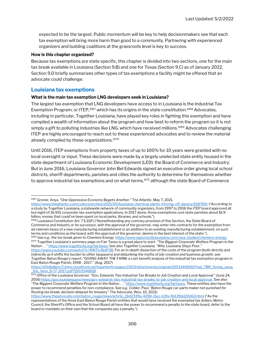expected to be the largest. Public momentum will be key to help decisionmakers see that each tax exemption will bring more harm than good to a community. Partnering with experienced organizers and building coalitions at the grassroots level is key to success.

#### How is this chapter organized?

Because tax exemptions are state specific, this chapter is divided into two sections, one for the main tax break available in Louisiana (Section 9.B) and one for Texas (Section 9.C) as of January 2022. Section 9.D briefly summarizes other types of tax exemptions a facility might be offered that an advocate could challenge.

#### Louisiana tax exemptions

#### What is the main tax exemption LNG developers seek in Louisiana?

The largest tax exemption that LNG developers have access to in Louisiana is the Industrial Tax Exemption Program, or ITEP,<sup>1067</sup> which has its origins in the state constitution.<sup>1068</sup> Advocates, including in particular, Together Louisiana, have played key roles in fighting this exemption and have compiled a wealth of information about the program and how best to reform the program so it is not simply a gift to polluting industries like LNG, which have received millions.<sup>1069</sup> Advocates challenging ITEP are highly encouraged to reach out to these experienced advocates and to review the material already compiled by these organizations.<sup>1070</sup>

Until 2016, ITEP exemptions from property taxes of up to 100% for 10 years were granted with no local oversight or input. These decisions were made by a largely unelected state entity housed in the state department of Louisiana Economic Development (LED): the Board of Commerce and Industry. But in June 2016, Louisiana Governor John Bel Edwards signed an executive order giving local school districts, sheriff departments, parishes and cities the authority to determine for themselves whether to approve industrial tax exemptions and on what terms,<sup>1071</sup> although the state Board of Commerce

1069 See e.g., the tax break given to Cheniere Energy. https://www.opportunitylouisiana.com/case-studies/cheniere-energy. 1070 Together Louisiana's summary page on Fair Taxes is a great place to start. "The Biggest Corporate Welfare Program in the Nation ..." https://www.togetherla.org/fairtaxes; See also Together Louisiana, "Why Louisiana Stays Poor." https://www.youtube.com/watch?v=RWTic9btP38. For an in-depth dissection of the costs of the program (both directly and indirectly as it shifts the burden to other taxpayers) and debunking the myths of job-creation and business growth, see Together Baton Rouge's report: "GIVING AWAY THE FARM: a cost-benefit analysis of the industrial tax exemption program in East Baton Rouge Parish, 1998 ‐ 2017." (Aug. 2017)

<sup>1067</sup> Groner, Anya. "One Oppressive Economy Begets Another." The Atlantic. May 7, 2021.

https://www.theatlantic.com/culture/archive/2021/05/louisiana-chemical-plants-thriving-off-slavery/618769/ ("According to a study by Together Louisiana, a statewide network of community organizers, from 1997 to 2016 the ITEP board approved all but eight of 16,931 corporate-tax-exemption applications. In 2017 alone, those exemptions cost state parishes about \$1.9 billion, money that could've been spent on local parks, libraries, and schools.").

<sup>1068</sup> Louisiana Constitution Art. 7 § 21(F) ("Notwithstanding any contrary provision of this Section, the State Board of Commerce and Industry or its successor, with the approval of the governor, may enter into contracts for the exemption from ad valorem taxes of a new manufacturing establishment or an addition to an existing manufacturing establishment, on such terms and conditions as the board, with the approval of the governor, deems in the best interest of the state.").

https://d3n8a8pro7vhmx.cloudfront.net/togetherbr/pages/2303/attachments/original/1503346818/Final\_TBR\_Giving\_away \_the\_farm\_8-17-2017.pdf?1503346818.

<sup>1071</sup> Office of the Louisiana Governor. "Gov. Edwards Ties Industrial Tax Breaks to Job Creation and Local Approval." (June 24, 2016) https://gov.louisiana.gov/news/gov-edwards-ties-industrial-tax-breaks-to-job-creation-and-local-approval. See also "The Biggest Corporate Welfare Program in the Nation ..." https://www.togetherla.org/fairtaxes. These entities also have the power to recommend penalties for non-compliance. See e.g., Cobler, Paul. "Baton Rouge car-parts maker not punished for flouting tax break, decision delayed for brewery" The Advocate. (Nov. 10, 2021)

https://www.theadvocate.com/baton\_rouge/news/article\_2bd2339a-4290-11ec-b3fa-9b139dd20d63.html ("As the representatives of the three East Baton Rouge Parish entities that would have received the exempted tax dollars, Metro Council, the Sheriff's Office and the School Board all have the power to recommend a penalty to the state board, defer to the board or mandate on their own that the companies pay a penalty.").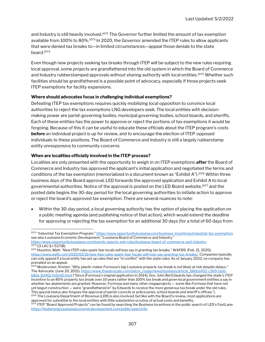and Industry is still heavily involved.<sup>1072</sup> The Governor further limited the amount of tax exemption available from 100% to 80%.<sup>1073</sup> In 2020, the Governor amended the ITEP rules to allow applicants that were denied tax breaks to—in limited circumstances—appeal those denials to the state board.<sup>1074</sup>

Even though new projects seeking tax breaks through ITEP will be subject to the new rules requiring local approval, some projects are grandfathered into the old system in which the Board of Commerce and Industry rubberstamped approvals without sharing authority with local entities.<sup>1075</sup> Whether such facilities should be grandfathered is a possible point of advocacy, especially if those projects seek ITEP exemptions for facility expansions.

#### Where should advocates focus in challenging individual exemptions?

Defeating ITEP tax exemptions requires quickly mobilizing local opposition to convince local authorities to reject the tax exemptions LNG developers seek. The local entities with decisionmaking power are parish governing bodies, municipal governing bodies, school boards, and sheriffs. Each of these entities has the power to approve or reject the portions of tax exemptions it would be forgoing. Because of this it can be useful to educate these officials about the ITEP program's costs **before** an individual project is up for review, and to encourage the election of ITEP-opposed individuals to these positions. The Board of Commerce and Industry is still a largely rubberstamp entity unresponsive to community concerns.

#### When are localities officially involved in the ITEP process?

Localities are only presented with the opportunity to weigh in on ITEP exemptions **after** the Board of Commerce and Industry has approved the applicant's initial application and negotiated the terms and conditions of the tax exemption (memorialized in a document known as "Exhibit A").<sup>1076</sup> Within three business days of the Board approval, LED forwards the approved application and Exhibit A to local governmental authorities. Notice of the approval is posted on the LED Board website,<sup>1077</sup> and the posted date begins the 30-day period for the local governing authorities to initiate action to approve or reject the board's approved tax exemption. There are several nuances to note:

 Within the 30-day period, a local governing authority has the option of placing the application on a public meeting agenda (and publishing notice of that action), which would extend the deadline for approving or rejecting the tax exemption for an additional 30 days (for a total of 60 days from

<sup>1072 &</sup>quot;Industrial Tax Exemption Program." https://www.opportunitylouisiana.com/business-incentives/industrial-tax-exemption; see also Louisiana Economic Development. "Louisiana Board of Commerce and Industry."

https://www.opportunitylouisiana.com/boards-reports-and-rules/louisiana-board-of-commerce-and-industry. <sup>1073</sup> 13 LAC § I-537(B).

<sup>1074</sup> Houston, Matt. "New ITEP rules spark fear locals will lose say in granting tax breaks." WAFB9. (Feb. 21, 2020), https://www.wafb.com/2020/02/21/new-itep-rules-spark-fear-locals-will-lose-say-granting-tax-breaks/. Companies typically can only appeal if a local entity has set up rules that are "in conflict" with the state rules. As of January 2022, no company has prevailed on an appeal.

<sup>&</sup>lt;sup>1075</sup> Mosbrucker, Kristen. "Why plastic maker Formosa's big Louisiana property tax break is not likely at risk despite delays." The Advocate. (June 20, 2021). https://www.theadvocate.com/baton\_rouge/news/business/article\_68dce452-c3b9-11ebb8e1-1bf42c7e5145.html ("Since [Formosa's original application in 2014], Gov. John Bel Edwards has changed the state's ITEP incentive to an 80% property tax break over 10 years rather than 100% tax break and given local government entities a say in whether tax abatements are granted. However, Formosa and many other megaprojects — some like Formosa that have not yet begun construction — were "grandfathered in" by Edwards to receive the more generous tax break under the old rules. This special status also forgoes the approval of parish councils or police juries, school boards and sheriff's offices."). 1076 The Louisiana Department of Revenue (LDR) is also involved, but like with the Board's review, most applications are approved for submittal to the local entities with little substantive scrutiny of actual costs and benefits.

<sup>&</sup>lt;sup>1077</sup> ITEP "Board Approved Projects" can be found by searching the Business Incentives in the public search of LED's FastLane: https://fastlaneng.louisianaeconomicdevelopment.com/public/search/bi.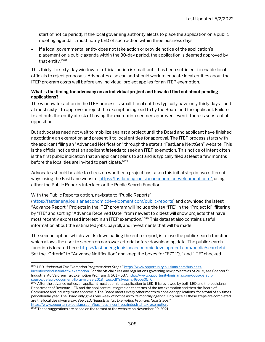start of notice period). If the local governing authority elects to place the application on a public meeting agenda, it must notify LED of such action within three business days.

 If a local governmental entity does not take action or provide notice of the application's placement on a public agenda within the 30-day period, the application is deemed approved by that entity.<sup>1078</sup>

This thirty- to sixty-day window for official action is small, but it has been sufficient to enable local officials to reject proposals. Advocates also can and should work to educate local entities about the ITEP program costs well before any individual project applies for an ITEP exemption.

#### What is the timing for advocacy on an individual project and how do I find out about pending applications?

The window for action in the ITEP process is small. Local entities typically have only thirty days—and at most sixty—to approve or reject the exemption agreed to by the Board and the applicant. Failure to act puts the entity at risk of having the exemption deemed approved, even if there is substantial opposition.

But advocates need not wait to mobilize against a project until the Board and applicant have finished negotiating an exemption and present it to local entities for approval. The ITEP process starts with the applicant filing an "Advanced Notification" through the state's "FastLane NextGen" website. This is the official notice that an applicant *intends* to seek an ITEP exemption. This notice of intent often is the first public indication that an applicant plans to act and is typically filed at least a few months before the localities are invited to participate.<sup>1079</sup>

Advocates should be able to check on whether a project has taken this initial step in two different ways using the FastLane website: https://fastlaneng.louisianaeconomicdevelopment.com/, using either the Public Reports interface or the Public Search Function.

#### With the Public Reports option, navigate to "Public Reports"

(https://fastlaneng.louisianaeconomicdevelopment.com/public/reports) and download the latest "Advance Report." Projects in the ITEP program will include the tag "ITE" in the "Project Id"; filtering by "ITE" and sorting "Advance Received Date" from newest to oldest will show projects that have most recently expressed interest in an ITEP exemption.<sup>1080</sup> This dataset also contains useful information about the estimated jobs, payroll, and investments that will be made.

The second option, which avoids downloading the entire report, is to use the public search function, which allows the user to screen on narrower criteria before downloading data. The public search function is located here: https://fastlaneng.louisianaeconomicdevelopment.com/public/search/bi. Set the "Criteria" to "Advance Notification" and keep the boxes for "EZ" "QJ" and "ITE" checked.

<sup>1078</sup> LED. "Industrial Tax Exemption Program: Next Steps." https://www.opportunitylouisiana.com/businessincentives/industrial-tax-exemption. For the official rules and regulations governing new projects as of 2018, see Chapter 5: Industrial Ad Valorem Tax Exemption Program §§ 501 – 537. https://www.opportunitylouisiana.com/docs/defaultsource/default-document-library/rules-2018\_itep.pdf?sfvrsn=c460ba05\_0.

<sup>1079</sup> After the advance notice, an applicant must submit its application to LED. It is reviewed by both LED and the Louisiana Department of Revenue. LED and the applicant must agree on the terms of the tax exemption and then the Board of Commerce and Industry must approve it. The Board meets every other month to consider applications, for a total of six times per calendar year. The Board only gives one week of notice as to its monthly agenda. Only once all these steps are completed are the localities given a say. See LED. "Industrial Tax Exemption Program: Next Steps." https://www.opportunitylouisiana.com/business-incentives/industrial-tax-exemption.

<sup>&</sup>lt;sup>1080</sup> These suggestions are based on the format of the website on November 29, 2021.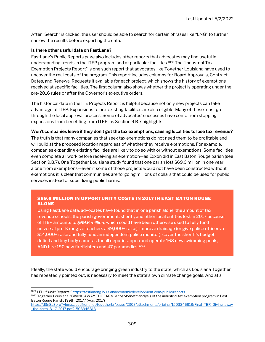After "Search" is clicked, the user should be able to search for certain phrases like "LNG" to further narrow the results before exporting the data.

#### Is there other useful data on FastLane?

FastLane's Public Reports page also includes other reports that advocates may find useful in understanding trends in the ITEP program and at particular facilities.<sup>1081</sup> The "Industrial Tax Exemption Projects Report" is one such report that advocates like Together Louisiana have used to uncover the real costs of the program. This report includes columns for Board Approvals, Contract Dates, and Renewal Requests if available for each project, which shows the history of exemptions received at specific facilities. The first column also shows whether the project is operating under the pre-2016 rules or after the Governor's executive orders.

The historical data in the ITE Projects Report is helpful because not only new projects can take advantage of ITEP. Expansions to pre-existing facilities are also eligible. Many of these must go through the local approval process. Some of advocates' successes have come from stopping expansions from benefiting from ITEP, as Section 9.B.7 highlights.

#### Won't companies leave if they don't get the tax exemptions, causing localities to lose tax revenue?

The truth is that many companies that seek tax exemptions do not need them to be profitable and will build at the proposed location regardless of whether they receive exemptions. For example, companies expanding existing facilities are likely to do so with or without exemptions. Some facilities even complete all work before receiving an exemption—as Exxon did in East Baton Rouge parish (see Section 9.B.7). One Together Louisiana study found that one parish lost \$69.6 million in one year alone from exemptions—even if some of those projects would not have been constructed without exemptions it is clear that communities are forgoing millions of dollars that could be used for public services instead of subsidizing public harms.

#### \$69.6 MILLION IN OPPORTUNITY COSTS IN 2017 IN EAST BATON ROUGE ALONE

Using FastLane data, advocates have found that in one parish alone, the amount of tax revenue schools, the parish government, sheriff, and other local entities lost in 2017 because of ITEP amounts to \$69.6 million, which could have been otherwise used to fully fund universal pre-K (or give teachers a \$9,000+ raise), improve drainage (or give police officers a \$14,000+ raise and fully fund an independent police monitor), cover the sheriff's budget deficit and buy body cameras for all deputies, open and operate 168 new swimming pools, AND hire 190 new firefighters and 47 paramedics.<sup>1082</sup>

Ideally, the state would encourage bringing green industry to the state, which as Louisiana Together has repeatedly pointed out, is necessary to meet the state's own climate change goals. And at a

https://d3n8a8pro7vhmx.cloudfront.net/togetherbr/pages/2303/attachments/original/1503346818/Final\_TBR\_Giving\_away \_the\_farm\_8-17-2017.pdf?1503346818.

<sup>&</sup>lt;sup>1081</sup> LED "Public Reports." https://fastlaneng.louisianaeconomicdevelopment.com/public/reports.

<sup>1082</sup> Together Louisiana. "GIVING AWAY THE FARM: a cost-benefit analysis of the industrial tax exemption program in East Baton Rouge Parish, 1998 ‐ 2017." (Aug. 2017)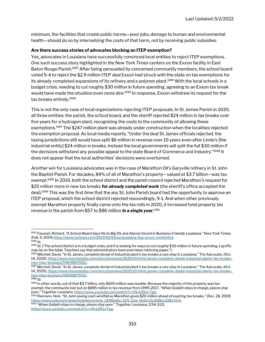minimum, the facilities that create public harms—poor jobs, damage to human and environmental health—should do so by internalizing the costs of that harm, not by receiving public subsidies.

#### Are there success stories of advocates blocking an ITEP exemption?

Yes, advocates in Louisiana have successfully convinced local entities to reject ITEP exemptions. One such success story highlighted in the New York Times centers on the Exxon facility in East Baton Rouge Parish.<sup>1083</sup> After being persuaded by concerned community members, the school board voted 5-4 to reject the \$2.9 million ITEP deal Exxon had struck with the state on tax exemptions for its already completed expansions of its refinery and a polymer plant.<sup>1084</sup> With the local schools in a budget crisis, needing to cut roughly \$30 million in future spending, agreeing to an Exxon tax break would have made the situation even more dire.<sup>1085</sup> In response, Exxon withdrew its request for the tax breaks entirely.<sup>1086</sup>

This is not the only case of local organizations rejecting ITEP proposals. In St. James Parish in 2020, all three entities: the parish, the school board, and the sheriff rejected \$24 million in tax breaks over five years for a hydrogen plant, recognizing the costs to the community of allowing these exemptions.<sup>1087</sup> The \$247 million plant was already under construction when the localities rejected the exemption proposal. As local media reports, "Under the deal St. James officials rejected, the taxing jurisdictions still would have split \$6 million in revenue over 10 years even after Linde's [the industrial entity] \$24 million in breaks. Instead the local governments will split the full \$30 million if the decisions withstand any possible appeal to the state Board of Commerce and Industry."<sup>1088</sup> It does not appear that the local authorities' decisions were overturned.

Another win for Louisiana advocates was in the case of Marathon Oil's Garyville refinery in St. John the Baptist Parish. For decades, 84% of all of Marathon's property—valued at \$3.7 billion—was tax exempt.<sup>1089</sup> In 2019, both the school district and the parish council rejected Marathon's request for \$25 million more in new tax breaks for already completed work (the sheriff's office accepted the deal).<sup>1090</sup> This was the first time that the any St. John Parish board had the opportunity to approve an ITEP proposal, which the school district rejected resoundingly, 9-1. And when other previously exempt Marathon property finally came onto the tax rolls in 2020, it increased total property tax revenue in the parish from \$57 to \$86 million **in a single year**.<sup>1091</sup>

<sup>1083</sup> Fausset, Richard. "A School Board Says No to Big Oil, and Alarms Sound in Business-Friendly Louisiana." New York Times. (Feb. 5, 2019) https://www.nytimes.com/2019/02/05/us/louisiana-itep-exxon-mobil.html.  $1084$  Id.

<sup>&</sup>lt;sup>1085</sup> Id. ("The school district is in a budget crisis, and it is looking for ways to cut roughly \$30 million in future spending. Layoffs may be on the table. Teachers say that administrators have even been rationing paper.").

<sup>1086</sup> Mitchell, David. "In St. James, complete denial of industrial plant's tax breaks a rare step in Louisiana." The Advocate. (Oct. 14, 2020). https://www.houmatoday.com/story/business/2020/10/14/st-james-complete-denial-industrial-plants-tax-breaksrare-step-louisiana/5969887002/.

<sup>1087</sup> Mitchell, David. "In St. James, complete denial of industrial plant's tax breaks a rare step in Louisiana." The Advocate. (Oct. 14, 2020). https://www.houmatoday.com/story/business/2020/10/14/st-james-complete-denial-industrial-plants-tax-breaksrare-step-louisiana/5969887002/.

 $1088$  Id.

<sup>1089</sup> In other words, out of that \$3.7 billion, only \$600 million was taxable. Because the majority of the property was tax exempt, the community lost out on \$885 million in tax revenue from 1999-2017. "When Goliath stays in charge, places stay poor." Together Louisiana. https://www.youtube.com/watch?v=cNcbZKevTpg.

<sup>1090</sup> Reimann, Nick. "St. John seeing cash windfall as Marathon gives \$20 million ahead of expiring tax breaks." (Dec. 28, 2019) https://www.nola.com/news/business/article\_c836bdbc-21f1-11ea-9e5d-1fa308bcd381.html.

<sup>&</sup>lt;sup>1091</sup> "When Goliath stays in charge, places stay poor." Together Louisiana. 2:54-3:13. https://www.youtube.com/watch?v=cNcbZKevTpg.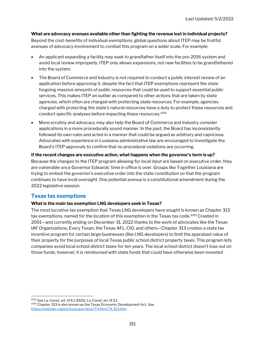#### What are advocacy avenues available other than fighting the revenue lost in individual projects?

Beyond the cost-benefits of individual exemptions, global questions about ITEP may be fruitful avenues of advocacy involvement to combat this program on a wider scale. For example:

- An applicant expanding a facility may seek to grandfather itself into the pre-2016 system and avoid local review improperly. ITEP only allows expansions, not new facilities to be grandfathered into the system.
- The Board of Commerce and Industry is not required to conduct a public interest review of an application before approving it, despite the fact that ITEP exemptions represent the state forgoing massive amounts of public resources that could be used to support essential public services. This makes ITEP an outlier as compared to other actions that are taken by state agencies, which often are charged with protecting state resources. For example, agencies charged with protecting the state's natural resources have a duty to protect these resources and conduct specific analyses before impacting these resources.<sup>1092</sup>
- More scrutiny and advocacy may also help the Board of Commerce and Industry consider applications in a more procedurally sound manner. In the past, the Board has inconsistently followed its own rules and acted in a manner that could be argued as arbitrary and capricious. Advocates with experience in Louisiana administrative law are encouraged to investigate the Board's ITEP approvals to confirm that no procedural violations are occurring.

#### If the recent changes are executive action, what happens when the governor's term is up?

Because the changes to the ITEP program allowing for local input are based on executive order, they are vulnerable once Governor Edwards' time in office is over. Groups like Together Louisiana are trying to embed the governor's executive order into the state constitution so that the program continues to have local oversight. One potential avenue is a constitutional amendment during the 2022 legislative session.

#### Texas tax exemptions

#### What is the main tax exemption LNG developers seek in Texas?

The most lucrative tax exemption that Texas LNG developers have sought is known as Chapter 313 tax exemptions, named for the location of this exemption in the Texas tax code.<sup>1093</sup> Created in 2001—and currently ending on December 31, 2022 thanks to the work of advocates like the Texas IAF Organizations, Every Texan, the Texas AFL-CIO, and others—Chapter 313 creates a state tax incentive program for certain large businesses (like LNG developers) to limit the appraised value of their property for the purposes of local Texas public school district property taxes. This program lets companies avoid local school district taxes for ten years. The local school district doesn't lose out on those funds, however; it is reimbursed with state funds that could have otherwise been invested

<sup>1092</sup> See La. Const. art. VI § 1 (1921); La. Const. art. IX § 1. <sup>1093</sup> Chapter 313 is also known as the Texas Economic Development Act. See https://statutes.capitol.texas.gov/docs/TX/htm/TX.313.htm.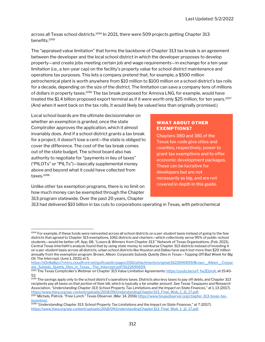across all Texas school districts.<sup>1094</sup> In 2021, there were 509 projects getting Chapter 313 benefits.<sup>1095</sup>

The "appraised value limitation" that forms the backbone of Chapter 313 tax break is an agreement between the developer and the local school district in which the developer proposes to develop property—and create jobs meeting certain job and wage requirements—in exchange for a ten-year limitation (i.e., a ten-year cap) on the facility's property value for school district maintenance and operations tax purposes. This lets a company pretend that, for example, a \$500 million petrochemical plant is worth anywhere from \$10 million to \$100 million on a school district's tax rolls for a decade, depending on the size of the district. The limitation can save a company tens of millions of dollars in property taxes.<sup>1096</sup> The tax break proposed for Annova LNG, for example, would have treated the \$1.4 billion proposed export terminal as if it were worth only \$25 million, for ten years.<sup>1097</sup> (And when it went back on the tax rolls, it would likely be valued less than originally promised.)

Local school boards are the ultimate decisionmaker on whether an exemption is granted, once the state Comptroller approves the application, which it almost invariably does. And if a school district grants a tax break for a project, it doesn't lose a cent—the state is obliged to cover the difference. The cost of the tax break comes out of the state budget. The school board also has authority to negotiate for "payments in lieu of taxes" ("PILOTs" or "PILTs")—basically supplemental money above and beyond what it could have collected from taxes.<sup>1098</sup>

Unlike other tax exemption programs, there is no limit on how much money can be exempted through the Chapter 313 program statewide. Over the past 20 years, Chapter

#### WHAT ABOUT OTHER EXEMPTIONS?

Chapters 380 and 381 of the Texas tax code give cities and counties, respectively, power to grant tax exemptions and to offer economic development packages. These can be lucrative for developers but are not necessarily as big, and are not covered in depth in this guide.

313 had delivered \$10 billion in tax cuts to corporations operating in Texas, with petrochemical

https://d3n8a8pro7vhmx.cloudfront.net/gulfcoastlc/pages/1561/attachments/original/1622690659/Brown\_\_Alleen\_\_Corpor ate Subsidy Quietly Dies in Texas - The Intercept.pdf?1622690659.

1096 The savings apply only to the school district's operations taxes. Districts also levy taxes to pay off debts, and Chapter 313 recipients pay all taxes on that portion of their bill, which is typically a far smaller amount. See Texas Taxpayers and Research Association. "Understanding Chapter 313: School Property Tax Limitations and the Impact on State Finances," at 1, 13 (2017). https://www.ttara.org/wp-content/uploads/2018/09/UnderstandingChapter313\_Final\_Web\_1\_11\_17.pdf.

1097 Michels, Patrick. "Free Lunch." Texas Observer. (Mar. 14, 2016) https://www.texasobserver.org/chapter-313-texas-taxincentive/.

<sup>1094</sup> For example, if these funds were reinvested across all school districts on a per-student basis instead of going to the few districts that agreed to Chapter 313 exemptions, 1061 districts and charters—which collectively serve 95% of public-school students—would be better off. App. 68, "Losers & Winners from Chapter 313." Network of Texas Organizations. (Feb. 2021). Central Texas Interfaith's analysis found that by using state money to reimburse Chapter 313 districts instead of investing it on a per-student basis across all districts, urban school districts like Houston and Dallas have each lost more than \$20 million annually from the exemption program. Brown, Alleen. Corporate Subsidy Quietly Dies in Texas—Topping Off Bad Week for Big Oil. The Intercept. (June 1, 2021) at 5.

<sup>1095</sup> The Texas Comptroller's Webinar on Chapter 313 Value Limitation Agreements: https://youtu.be/urF-fw2EbmA, at 15:40-52.

<sup>1098</sup> "Understanding Chapter 313: School Property Tax Limitations and the Impact on State Finances," at 7 (2017). https://www.ttara.org/wp-content/uploads/2018/09/UnderstandingChapter313\_Final\_Web\_1\_11\_17.pdf.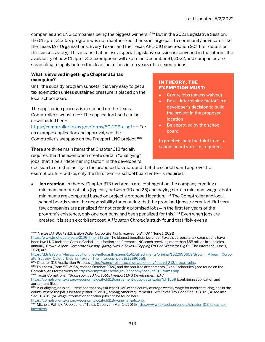companies and LNG companies being the biggest winners.<sup>1099</sup> But in the 2021 Legislative Session, the Chapter 313 tax program was not reauthorized, thanks in large part to community advocates like the Texas IAF Organizations, Every Texan, and the Texas AFL-CIO (see Section 9.C.4 for details on this success story). This means that unless a special legislative session is convened in the interim, the availability of new Chapter 313 exemptions will expire on December 31, 2022, and companies are scrambling to apply before the deadline to lock in ten years of tax exemptions.

#### What is involved in getting a Chapter 313 tax exemption?

Until the subsidy program sunsets, it is very easy to get a tax exemption unless sustained pressure is placed on the local school board.

The application process is described on the Texas Comptroller's website.<sup>1100</sup> The application itself can be downloaded here:

https://comptroller.texas.gov/forms/50-296-a.pdf. <sup>1101</sup> For an example application and approval, see the Comptroller's webpage on the Freeport LNG project.<sup>1102</sup>

There are three main items that Chapter 313 facially requires: that the exemption create certain "qualifying" jobs; that it be a "determining factor" in the developer's

#### IN THEORY, THE EXEMPTION MUST:

- Create jobs (unless waived)
- Be a "determining factor" in a developer's decision to build the project in the proposed location
- Be approved by the school board

In practice, only the third item—a school board vote—is required.

decision to site the facility in the proposed location; and that the school board approve the exemption. In Practice, only the third item—a school board vote—is required.

**Job creation.** In theory, Chapter 313 tax breaks are contingent on the company creating a minimum number of jobs (typically between 10 and 25) and paying certain minimum wages; both minimums are computed based on project's proposed location.<sup>1103</sup> The Comptroller and local school boards share the responsibility for ensuring that the promised jobs are created. But very few companies are penalized for not creating promised jobs—in the first ten years of the program's existence, only one company had been penalized for this.<sup>1104</sup> Even when jobs are created, it is at an exorbitant cost. A Houston Chronicle study found that "[b]y even a

<sup>1102</sup> Texas Comptroller. "Brazosport ISD No. 1559, Freeport LNG Development, L.P."

<sup>1099 &</sup>quot;Texas IAF Blocks \$10 Billion Dollar Corporate Tax Giveaway to Big Oil." (June 1, 2021)

https://www.tmohouston.org/2106\_tmo\_313win The biggest beneficiaries under Texas's corporate tax exemptions have been two LNG facilities: Corpus Christi Liquefaction and Freeport LNG, each receiving more than \$55 million in subsidies annually. Brown, Alleen. Corporate Subsidy Quietly Dies in Texas—Topping Off Bad Week for Big Oil. The Intercept. (June 1, 2021) at 5.

https://d3n8a8pro7vhmx.cloudfront.net/gulfcoastlc/pages/1561/attachments/original/1622690659/Brown\_\_Alleen\_\_Corpor ate\_Subsidy\_Quietly\_Dies\_in\_Texas\_-The\_Intercept.pdf?1622690659.

<sup>1100</sup> Chapter 313 Application Process. https://comptroller.texas.gov/economy/local/ch313/process.php. <sup>1101</sup> This form (Form 50-296A, revised October 2020) and the required attachments (Excel "schedules") are found on the Comptroller's forms website: https://comptroller.texas.gov/economy/local/ch313/forms.php.

https://comptroller.texas.gov/economy/local/ch313/agreement-docs-details.php?id=1559 (containing application and agreement files).

 $^{1103}$  A qualifying job is a full-time one that pays at least 110% of the county average weekly wage for manufacturing jobs in the county where the job is located (either 25 or 10), among other requirements. See Texas Tax Code Sec. 313.021(3); see also Sec. 313.051(b). Wage information for other jobs can be found here: https://comptroller.texas.gov/economy/local/ch313/wage-targets.php.

<sup>&</sup>lt;sup>1104</sup> Michels, Patrick. "Free Lunch." Texas Observer. (Mar. 14, 2016) <u>https://www.texasobserver.org/chapter-313-texas-tax-</u> incentive/.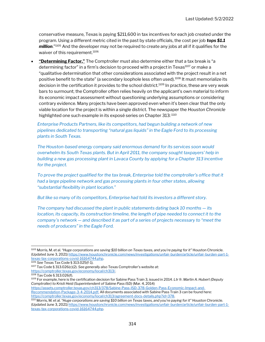conservative measure, Texas is paying \$211,600 in tax incentives for each job created under the program. Using a different metric cited in the past by state officials, the cost per job tops \$1.1 **million.**" $105$  And the developer may not be required to create any jobs at all if it qualifies for the waiver of this requirement.<sup>1106</sup>

"Determining Factor." The Comptroller must also determine either that a tax break is "a determining factor" in a firm's decision to proceed with a project in Texas<sup>1107</sup> or make a "qualitative determination that other considerations associated with the project result in a net positive benefit to the state" (a secondary loophole less often used).<sup>1108</sup> It must memorialize its decision in the certification it provides to the school district.<sup>1109</sup> In practice, these are very weak bars to surmount; the Comptroller often relies heavily on the applicant's own material to inform its economic impact assessment without questioning underlying assumptions or considering contrary evidence. Many projects have been approved even when it's been clear that the only viable location for the project is within a single district. The newspaper the Houston Chronicle highlighted one such example in its exposé series on Chapter 313: 1110

Enterprise Products Partners, like its competitors, had begun building a network of new pipelines dedicated to transporting "natural gas liquids" in the Eagle Ford to its processing plants in South Texas.

The Houston-based energy company said enormous demand for its services soon would overwhelm its South Texas plants. But in April 2011, the company sought taxpayers' help in building a new gas processing plant in Lavaca County by applying for a Chapter 313 incentive for the project.

To prove the project qualified for the tax break, Enterprise told the comptroller's office that it had a large pipeline network and gas processing plants in four other states, allowing "substantial flexibility in plant location."

But like so many of its competitors, Enterprise had told its investors a different story.

The company had discussed the plant in public statements dating back 10 months — its location, its capacity, its construction timeline, the length of pipe needed to connect it to the company's network — and described it as part of a series of projects necessary to "meet the needs of producers" in the Eagle Ford.

https://assets.comptroller.texas.gov/ch313/378/Sabine-Pass-ISD-378-Golden-Pass-Economic-Impact-and-

Recommendation-Package-3-4-2014.pdf. All documents associated with Sabine Pass Train 3 can be found here: https://comptroller.texas.gov/economy/local/ch313/agreement-docs-details.php?id=378.

<sup>1105</sup> Morris, M. et al. "Huge corporations are saving \$10 billion on Texas taxes, and you're paying for it" Houston Chronicle. (Updated June 3, 2021) https://www.houstonchronicle.com/news/investigations/unfair-burden/article/unfair-burden-part-1 texas-tax-corporations-covid-16164744.php.

<sup>1106</sup> See Texas Tax Code § 313.025(f-1).

<sup>1107</sup> Tax Code § 313.026(c)(2). See generally also Texas Comptroller's website at:

https://comptroller.texas.gov/economy/local/ch313/.

<sup>1108</sup> Tax Code § 313.026(f).

<sup>1109</sup> For example, here is the certification decision for Sabine Pass Train 3, issued in 2014. Ltr fr. Martin A. Hubert (Deputy Comptroller) to Kristi Heid (Superintendent of Sabine Pass ISD) (Mar. 4, 2014)

<sup>&</sup>lt;sup>1110</sup> Morris, M. et al. "Huge corporations are saving \$10 billion on Texas taxes, and you're paying for it" Houston Chronicle. (Updated June 3, 2021) https://www.houstonchronicle.com/news/investigations/unfair-burden/article/unfair-burden-part-1 texas-tax-corporations-covid-16164744.php.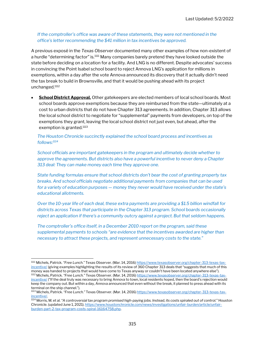#### If the comptroller's office was aware of these statements, they were not mentioned in the office's letter recommending the \$41 million in tax incentives be approved.

A previous exposé in the Texas Observer documented many other examples of how non-existent of a hurdle "determining factor" is.<sup>1111</sup> Many companies barely pretend they have looked outside the state before deciding on a location for a facility. And LNG is no different. Despite advocates' success in convincing the Point Isabel school board to reject Annova LNG's application for millions in exemptions, within a day after the vote Annova announced its discovery that it actually didn't need the tax break to build in Brownsville, and that it would be pushing ahead with its project unchanged.<sup>1112</sup>

School District Approval. Other gatekeepers are elected members of local school boards. Most school boards approve exemptions because they are reimbursed from the state—ultimately at a cost to urban districts that do not have Chapter 313 agreements. In addition, Chapter 313 allows the local school district to negotiate for "supplemental" payments from developers, on top of the exemptions they grant, leaving the local school district not just even, but ahead, after the exemption is granted.<sup>1113</sup>

#### The Houston Chronicle succinctly explained the school board process and incentives as follows:<sup>1114</sup>

School officials are important gatekeepers in the program and ultimately decide whether to approve the agreements. But districts also have a powerful incentive to never deny a Chapter 313 deal: They can make money each time they approve one.

State funding formulas ensure that school districts don't bear the cost of granting property tax breaks. And school officials negotiate additional payments from companies that can be used for a variety of education purposes — money they never would have received under the state's educational allotments.

Over the 10-year life of each deal, these extra payments are providing a \$1.5 billion windfall for districts across Texas that participate in the Chapter 313 program. School boards occasionally reject an application if there's a community outcry against a project. But that seldom happens.

The comptroller's office itself, in a December 2010 report on the program, said these supplemental payments to schools "are evidence that the incentives awarded are higher than necessary to attract these projects, and represent unnecessary costs to the state."

<sup>1111</sup> Michels, Patrick. "Free Lunch." Texas Observer. (Mar. 14, 2016) https://www.texasobserver.org/chapter-313-texas-taxincentive/ (giving examples highlighting the results of its review of 360 Chapter 313 deals that "suggests that much of this money was handed to projects that would have come to Texas anyway or couldn't have been located anywhere else"). 1112 Michels, Patrick. "Free Lunch." Texas Observer. (Mar. 14, 2016) https://www.texasobserver.org/chapter-313-texas-taxincentive/ ("If the deal truly was necessary to bring Annova to town, local residents hoped, then the board's rejection would

keep the company out. But within a day, Annova announced that even without the break, it planned to press ahead with its terminal on the ship channel.").

<sup>1113</sup> Michels, Patrick. "Free Lunch." Texas Observer. (Mar. 14, 2016) https://www.texasobserver.org/chapter-313-texas-taxincentive/.

 $^{1114}$  Morris, M. et al. "A controversial tax program promised high-paying jobs. Instead, its costs spiraled out of control." Houston Chronicle. (updated June 1, 2021). https://www.houstonchronicle.com/news/investigations/unfair-burden/article/unfairburden-part-2-tax-program-costs-spiral-16164758.php.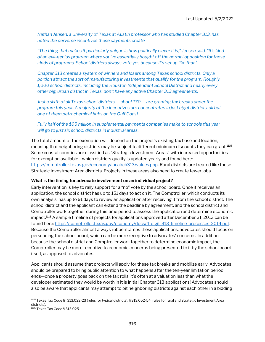Nathan Jensen, a University of Texas at Austin professor who has studied Chapter 313, has noted the perverse incentives these payments create.

"The thing that makes it particularly unique is how politically clever it is," Jensen said. "It's kind of an evil-genius program where you've essentially bought off the normal opposition for these kinds of programs. School districts always vote yes because it's set up like that."

Chapter 313 creates a system of winners and losers among Texas school districts. Only a portion attract the sort of manufacturing investments that qualify for the program. Roughly 1,000 school districts, including the Houston Independent School District and nearly every other big, urban district in Texas, don't have any active Chapter 313 agreements.

Just a sixth of all Texas school districts — about 170 — are granting tax breaks under the program this year. A majority of the incentives are concentrated in just eight districts, all but one of them petrochemical hubs on the Gulf Coast.

Fully half of the \$95 million in supplemental payments companies make to schools this year will go to just six school districts in industrial areas.

The total amount of the exemption will depend on the project's existing tax base and location, meaning that neighboring districts may be subject to different minimum discounts they can grant.<sup>1115</sup> Some coastal counties are classified as "Strategic Investment Areas" with increased opportunities for exemption available—which districts qualify is updated yearly and found here: https://comptroller.texas.gov/economy/local/ch313/values.php. Rural districts are treated like these Strategic Investment Area districts. Projects in these areas also need to create fewer jobs.

#### What is the timing for advocate involvement on an individual project?

Early intervention is key to rally support for a "no" vote by the school board. Once it receives an application, the school district has up to 151 days to act on it. The Comptroller, which conducts its own analysis, has up to 91 days to review an application after receiving it from the school district. The school district and the applicant can extend the deadline by agreement, and the school district and Comptroller work together during this time period to assess the application and determine economic impact.<sup>1116</sup> A sample timeline of projects for applications approved after December 31, 2013 can be found here: https://comptroller.texas.gov/economy/docs/4-digit-313-timeline-processes-2014.pdf. Because the Comptroller almost always rubberstamps these applications, advocates should focus on persuading the school board, which can be more receptive to advocates' concerns. In addition, because the school district and Comptroller work together to determine economic impact, the Comptroller may be more receptive to economic concerns being presented to it by the school board itself, as opposed to advocates.

Applicants should assume that projects will apply for these tax breaks and mobilize early. Advocates should be prepared to bring public attention to what happens after the ten-year limitation period ends—once a property goes back on the tax rolls, it's often at a valuation less than what the developer estimated they would be worth in it is initial Chapter 313 applications! Advocates should also be aware that applicants may attempt to pit neighboring districts against each other in a bidding

<sup>1115</sup> Texas Tax Code §§ 313.022-23 (rules for typical districts); § 313.052-54 (rules for rural and Strategic Investment Area districts).

<sup>1116</sup> Texas Tax Code § 313.025.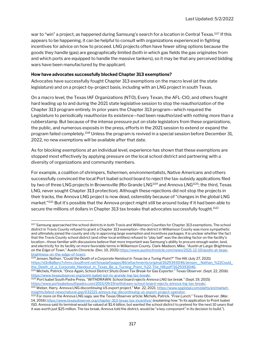war to "win" a project, as happened during Samsung's search for a location in Central Texas.<sup>1117</sup> If this appears to be happening, it can be helpful to consult with organizations experienced in fighting incentives for advice on how to proceed. LNG projects often have fewer siting options because the goods they handle (gas) are geographically limited (both in which gas fields the gas originates from and which ports are equipped to handle the massive tankers), so it may be that any perceived bidding wars have been manufactured by the applicant.

#### How have advocates successfully blocked Chapter 313 exemptions?

Advocates have successfully fought Chapter 313 exemptions on the macro level (at the state legislature) and on a project-by-project basis, including with an LNG project in south Texas.

On a macro level, the Texas IAF Organizations (NTO), Every Texan, the AFL-CIO, and others fought hard leading up to and during the 2021 state legislative session to stop the reauthorization of the Chapter 313 program entirely. In prior years the Chapter 313 program—which required the Legislature to periodically reauthorize its existence—had been reauthorized with nothing more than a rubberstamp. But because of the intense pressure put on state legislators from these organizations, the public, and numerous exposés in the press, efforts in the 2021 session to extend or expand the program failed completely.<sup>1118</sup> Unless the program is revived in a special session before December 31, 2022, no new exemptions will be available after that date.

As for blocking exemptions at an individual level, experience has shown that these exemptions are stopped most effectively by applying pressure on the local school district and partnering with a diversity of organizations and community members.

For example, a coalition of shrimpers, fishermen, environmentalists, Native Americans and others successfully convinced the local Port Isabel school board to reject the tax-subsidy applications filed by two of three LNG projects in Brownsville (Rio Grande LNG<sup>1119</sup> and Annova LNG<sup>1120</sup>; the third, Texas LNG, never sought Chapter 313 protection). Although these rejections did not stop the projects in their tracks, the Annova LNG project is now dead, ostensibly because of "changes in the global LNG market."<sup>1121</sup> But it's possible that the Annova project might still be around today if it had been able to secure the millions of dollars in Chapter 313 tax breaks that advocates successfully fought. $^{1122}$ 

1118 Jensen, Nathan. "Could the Death of a Corporate Handout in Texas be a Turing Point?" The Hill. (July 27, 2021) https://d3n8a8pro7vhmx.cloudfront.net/texasiaf/pages/86/attachments/original/1629393046/Jensen\_\_Nathan\_%22Could\_ the\_Death\_of\_a\_Corporate\_Handout\_in\_Texas\_Be\_a\_Turning\_Point\_%22-The\_HIll.pdf?1629393046.

<sup>1120</sup> Port Isabel South Padre Press. "WITHDRAWN: School board rejects Annova LNG tax break." (Sept. 19, 2015) https://www.portisabelsouthpadre.com/2015/09/19/withdrawn-school-board-rejects-annova-lng-tax-break/.

1121 Weber, Harry. Annova LNG discontinuing US export project." Mar. 22, 2021. https://www.spglobal.com/platts/en/marketinsights/latest-news/natural-gas/032221-annova-lng-discontinuing-us-export-project-operator.

<sup>&</sup>lt;sup>1117</sup> Samsung approached the school districts in both Travis and Williamson Counties for Chapter 313 exemptions. The school district in Travis County refused to grant a Chapter 313 exemption—the district in Williamson County was more sympathetic and ultimately joined the county and city in approving large exemption and incentives packages. It is unclear whether the fact that the Travis County school district (and other local entities) refused to "play ball" was the deciding factor on the facility's location—those familiar with discussions believe that more important was Samsung's ability to procure enough water, land, and electricity for its facility on more favorable terms in Williamson County. Clark-Madison, Mike. "Austin at Large: Brightness on the Edge of Town." Austin Chronicle. (Dec. 10, 2021) https://www.austinchronicle.com/news/2021-12-10/austin-at-largebrightness-on-the-edge-of-town/.

<sup>1119</sup> Michels, Patrick. "Once Again, School District Shuts Down Tax Break for Gas Exporter." Texas Observer. (Sept. 22, 2016) https://www.texasobserver.org/point-isabel-isd-rio-grande-lng-tax-break/.

<sup>1122</sup> For more on the Annova LNG saga, see the Texas Observer article: Michels, Patrick. "Free Lunch." Texas Observer. (Mar. 14, 2016) https://www.texasobserver.org/chapter-313-texas-tax-incentive/ (explaining how "In its application to Point Isabel ISD, Annova said its terminal would be valued at \$1.4 billion, but wanted the school district to pretend for the next 10 years that it was worth just \$25 million. The tax break, Annova told the district, would be "a key component" in its decision to build.").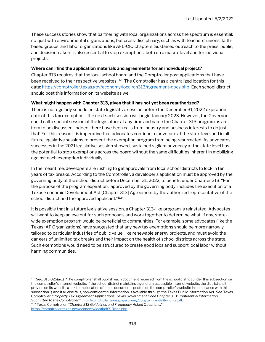These success stories show that partnering with local organizations across the spectrum is essential: not just with environmental organizations, but cross-disciplinary, such as with teachers' unions, faithbased groups, and labor organizations like AFL-CIO chapters. Sustained outreach to the press, public, and decisionmakers is also essential to stop exemptions, both on a macro-level and for individual projects.

#### Where can I find the application materials and agreements for an individual project?

Chapter 313 requires that the local school board and the Comptroller post applications that have been received to their respective websites.<sup>1123</sup> The Comptroller has a centralized location for this data: https://comptroller.texas.gov/economy/local/ch313/agreement-docs.php. Each school district should post this information on its website as well.

#### What might happen with Chapter 313, given that it has not yet been reauthorized?

There is no regularly scheduled state legislative session before the December 31, 2022 expiration date of this tax exemption—the next such session will begin January 2023. However, the Governor could call a special session of the legislature at any time and name the Chapter 313 program as an item to be discussed. Indeed, there have been calls from industry and business interests to do just that! For this reason it is imperative that advocates continue to advocate at the state level and in all future legislative sessions to prevent the exemption program from being resurrected. As advocates' successes in the 2021 legislative session showed, sustained vigilant advocacy at the state level has the potential to stop exemptions across the board without the same difficulties inherent in mobilizing against each exemption individually.

In the meantime, developers are rushing to get approvals from local school districts to lock in ten years of tax breaks. According to the Comptroller, a developer's application must be approved by the governing body of the school district before December 31, 2022, to benefit under Chapter 313. "For the purpose of the program expiration, 'approved by the governing body' includes the execution of a Texas Economic Development Act [Chapter 313] Agreement by the authorized representative of the school district and the approved applicant."<sup>1124</sup>

It is possible that in a future legislative session, a Chapter 313-like program is reinstated. Advocates will want to keep an eye out for such proposals and work together to determine what, if any, statewide exemption program would be beneficial to communities. For example, some advocates (like the Texas IAF Organizations) have suggested that any new tax exemptions should be more narrowly tailored to particular industries of public value, like renewable energy projects, and must avoid the dangers of unlimited tax breaks and their impact on the health of school districts across the state. Such exemptions would need to be structured to create good jobs and support local labor without harming communities.

<sup>1123</sup>Sec. 313.025(a-1) ("The comptroller shall publish each document received from the school district under this subsection on the comptroller's Internet website. If the school district maintains a generally accessible Internet website, the district shall provide on its website a link to the location of those documents posted on the comptroller's website in compliance with this subsection.") And if all else fails, non-confidential information is available through the Texas Public Information Act. See Texas Comptroller. "Property Tax Agreement Applications: Texas Government Code Chapter 313: Confidential Information Submitted to the Comptroller." https://comptroller.texas.gov/economy/docs/confidentiality-notice.pdf. <sup>1124</sup> Texas Comptroller. "Chapter 313 Guidelines and Frequently Asked Questions." https://comptroller.texas.gov/economy/local/ch313/faq.php.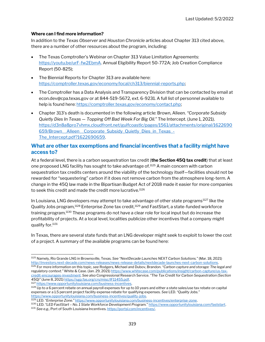#### Where can I find more information?

In addition to the Texas Observer and Houston Chronicle articles about Chapter 313 cited above, there are a number of other resources about the program, including:

- The Texas Comptroller's Webinar on Chapter 313 Value Limitation Agreements: https://youtu.be/urF-fw2EbmA. Annual Eligibility Report 50-772A; Job Creation Compliance Report (50-825);
- The Biennial Reports for Chapter 313 are available here: https://comptroller.texas.gov/economy/local/ch313/biennial-reports.php;
- The Comptroller has a Data Analysis and Transparency Division that can be contacted by email at econ.dev@cpa.texas.gov or at 844-519-5672, ext. 6-9231. A full list of personnel available to help is found here: https://comptroller.texas.gov/economy/contact.php;
- Chapter 313's death is documented in the following article: Brown, Alleen. "Corporate Subsidy Quietly Dies In Texas — Topping Off Bad Week For Big Oil." The Intercept. (June 1, 2021). https://d3n8a8pro7vhmx.cloudfront.net/gulfcoastlc/pages/1561/attachments/original/1622690 659/Brown\_\_Alleen\_\_Corporate\_Subsidy\_Quietly\_Dies\_in\_Texas\_- The\_Intercept.pdf?1622690659.

### What are other tax exemptions and financial incentives that a facility might have access to?

At a federal level, there is a carbon sequestration tax credit (the Section 45Q tax credit) that at least one proposed LNG facility has sought to take advantage of.<sup>1125</sup> A main concern with carbon sequestration tax credits centers around the viability of the technology itself—facilities should not be rewarded for "sequestering" carbon if it does not remove carbon from the atmosphere long-term. A change in the 45Q law made in the Bipartisan Budget Act of 2018 made it easier for more companies to seek this credit and made the credit more lucrative.<sup>1126</sup>

In Louisiana, LNG developers may attempt to take advantage of other state programs<sup>1127</sup> like the Quality Jobs program,<sup>1128</sup> Enterprise Zone tax credit,<sup>1129</sup> and FastStart, a state-funded workforce training program.<sup>1130</sup> These programs do not have a clear role for local input but do increase the profitability of projects. At a local level, localities publicize other incentives that a company might qualify for.<sup>1131</sup>

In Texas, there are several state funds that an LNG developer might seek to exploit to lower the cost of a project. A summary of the available programs can be found here:

<sup>1125</sup> Namely, Rio Grande LNG in Brownsville, Texas. See "NextDecade Launches NEXT Carbon Solutions." (Mar. 18, 2021) http://investors.next-decade.com/news-releases/news-release-details/nextdecade-launches-next-carbon-solutions. 1126 For more information on this topic, see Rodgers, Michael and Dubov, Brandon. "Carbon capture and storage: The legal and regulatory context." White & Case. (Jan. 29, 2021) https://www.whitecase.com/publications/insight/carbon-capture/us-taxcredit-encourages-investment. See also Congressional Research Service. "The Tax Credit for Carbon Sequestration (Section 45Q)" (June 8, 2021) https://sgp.fas.org/crs/misc/IF11455.pdf. <sup>1127</sup> https://www.opportunitylouisiana.com/business-incentives.

<sup>1128</sup> Up to a 6 percent rebate on annual payroll expenses for up to 10 years and either a state sales/use tax rebate on capital expenses or a 1.5 percent project facility expense rebate for qualifying expenses. See LED. "Quality Jobs." https://www.opportunitylouisiana.com/business-incentives/quality-jobs.

<sup>1129</sup> LED. "Enterprise Zone." https://www.opportunitylouisiana.com/business-incentives/enterprise-zone.

<sup>1130</sup> LED. "LED FastStart – No. 1 State Workforce Development Program." https://www.opportunitylouisiana.com/faststart. 1131 See e.g., Port of South Louisiana Incentives. https://portsl.com/incentives/.